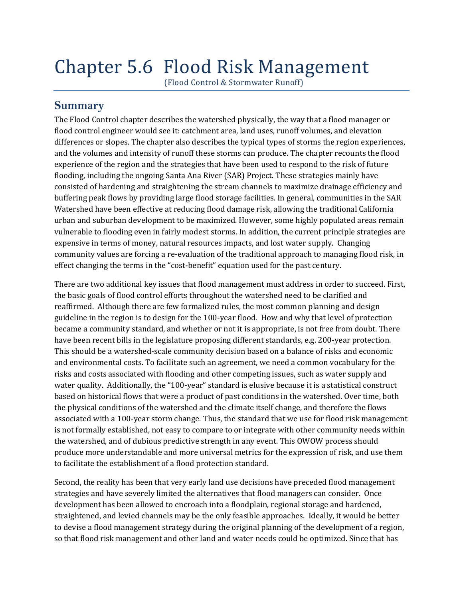# Chapter 5.6 Flood Risk Management

(Flood Control & Stormwater Runoff)

## **Summary**

The Flood Control chapter describes the watershed physically, the way that a flood manager or flood control engineer would see it: catchment area, land uses, runoff volumes, and elevation differences or slopes. The chapter also describes the typical types of storms the region experiences, and the volumes and intensity of runoff these storms can produce. The chapter recounts the flood experience of the region and the strategies that have been used to respond to the risk of future flooding, including the ongoing Santa Ana River (SAR) Project. These strategies mainly have consisted of hardening and straightening the stream channels to maximize drainage efficiency and buffering peak flows by providing large flood storage facilities. In general, communities in the SAR Watershed have been effective at reducing flood damage risk, allowing the traditional California urban and suburban development to be maximized. However, some highly populated areas remain vulnerable to flooding even in fairly modest storms. In addition, the current principle strategies are expensive in terms of money, natural resources impacts, and lost water supply. Changing community values are forcing a re‐evaluation of the traditional approach to managing flood risk, in effect changing the terms in the "cost-benefit" equation used for the past century.

There are two additional key issues that flood management must address in order to succeed. First, the basic goals of flood control efforts throughout the watershed need to be clarified and reaffirmed. Although there are few formalized rules, the most common planning and design guideline in the region is to design for the 100‐year flood. How and why that level of protection became a community standard, and whether or not it is appropriate, is not free from doubt. There have been recent bills in the legislature proposing different standards, e.g. 200-year protection. This should be a watershed‐scale community decision based on a balance of risks and economic and environmental costs. To facilitate such an agreement, we need a common vocabulary for the risks and costs associated with flooding and other competing issues, such as water supply and water quality. Additionally, the "100-year" standard is elusive because it is a statistical construct based on historical flows that were a product of past conditions in the watershed. Over time, both the physical conditions of the watershed and the climate itself change, and therefore the flows associated with a 100‐year storm change. Thus, the standard that we use for flood risk management is not formally established, not easy to compare to or integrate with other community needs within the watershed, and of dubious predictive strength in any event. This OWOW process should produce more understandable and more universal metrics for the expression of risk, and use them to facilitate the establishment of a flood protection standard.

Second, the reality has been that very early land use decisions have preceded flood management strategies and have severely limited the alternatives that flood managers can consider. Once development has been allowed to encroach into a floodplain, regional storage and hardened, straightened, and levied channels may be the only feasible approaches. Ideally, it would be better to devise a flood management strategy during the original planning of the development of a region, so that flood risk management and other land and water needs could be optimized. Since that has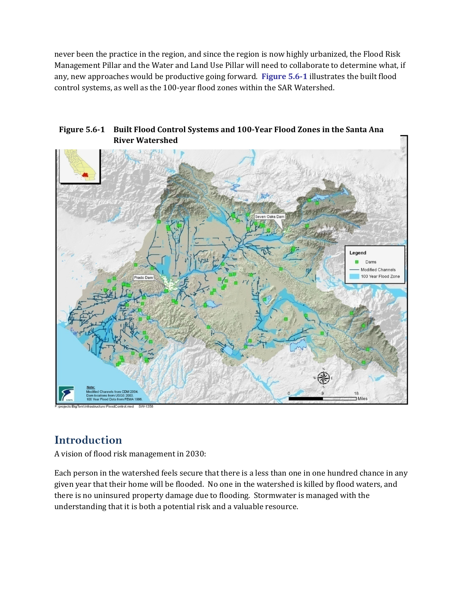never been the practice in the region, and since the region is now highly urbanized, the Flood Risk Management Pillar and the Water and Land Use Pillar will need to collaborate to determine what, if any, new approaches would be productive going forward. **Figure 5.61** illustrates the built flood control systems, as well as the 100‐year flood zones within the SAR Watershed.



#### **Figure 5.61 Built Flood Control Systems and 100Year Flood Zones in the Santa Ana River Watershed**

# **Introduction**

A vision of flood risk management in 2030:

Each person in the watershed feels secure that there is a less than one in one hundred chance in any given year that their home will be flooded. No one in the watershed is killed by flood waters, and there is no uninsured property damage due to flooding. Stormwater is managed with the understanding that it is both a potential risk and a valuable resource.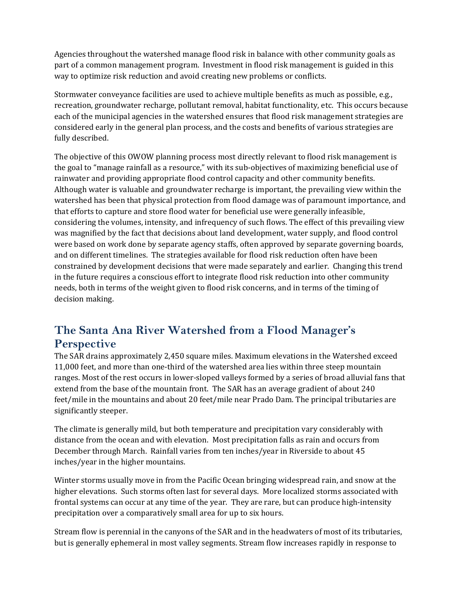Agencies throughout the watershed manage flood risk in balance with other community goals as part of a common management program. Investment in flood risk management is guided in this way to optimize risk reduction and avoid creating new problems or conflicts.

Stormwater conveyance facilities are used to achieve multiple benefits as much as possible, e.g., recreation, groundwater recharge, pollutant removal, habitat functionality, etc. This occurs because each of the municipal agencies in the watershed ensures that flood risk management strategies are considered early in the general plan process, and the costs and benefits of various strategies are fully described.

The objective of this OWOW planning process most directly relevant to flood risk management is the goal to "manage rainfall as a resource," with its sub‐objectives of maximizing beneficial use of rainwater and providing appropriate flood control capacity and other community benefits. Although water is valuable and groundwater recharge is important, the prevailing view within the watershed has been that physical protection from flood damage was of paramount importance, and that efforts to capture and store flood water for beneficial use were generally infeasible, considering the volumes, intensity, and infrequency of such flows. The effect of this prevailing view was magnified by the fact that decisions about land development, water supply, and flood control were based on work done by separate agency staffs, often approved by separate governing boards, and on different timelines. The strategies available for flood risk reduction often have been constrained by development decisions that were made separately and earlier. Changing this trend in the future requires a conscious effort to integrate flood risk reduction into other community needs, both in terms of the weight given to flood risk concerns, and in terms of the timing of decision making.

# **The Santa Ana River Watershed from a Flood Manager's Perspective**

The SAR drains approximately 2,450 square miles. Maximum elevations in the Watershed exceed 11,000 feet, and more than one‐third of the watershed area lies within three steep mountain ranges. Most of the rest occurs in lower‐sloped valleys formed by a series of broad alluvial fans that extend from the base of the mountain front. The SAR has an average gradient of about 240 feet/mile in the mountains and about 20 feet/mile near Prado Dam. The principal tributaries are significantly steeper.

The climate is generally mild, but both temperature and precipitation vary considerably with distance from the ocean and with elevation. Most precipitation falls as rain and occurs from December through March. Rainfall varies from ten inches/year in Riverside to about 45 inches/year in the higher mountains.

Winter storms usually move in from the Pacific Ocean bringing widespread rain, and snow at the higher elevations. Such storms often last for several days. More localized storms associated with frontal systems can occur at any time of the year. They are rare, but can produce high-intensity precipitation over a comparatively small area for up to six hours.

Stream flow is perennial in the canyons of the SAR and in the headwaters of most of its tributaries, but is generally ephemeral in most valley segments. Stream flow increases rapidly in response to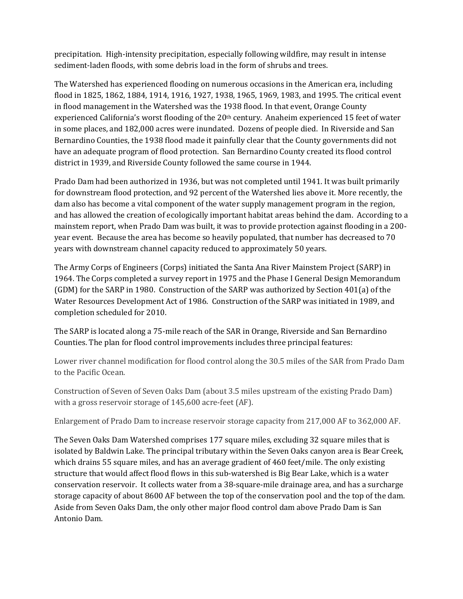precipitation. High-intensity precipitation, especially following wildfire, may result in intense sediment-laden floods, with some debris load in the form of shrubs and trees.

The Watershed has experienced flooding on numerous occasions in the American era, including flood in 1825, 1862, 1884, 1914, 1916, 1927, 1938, 1965, 1969, 1983, and 1995. The critical event in flood management in the Watershed was the 1938 flood. In that event, Orange County experienced California's worst flooding of the  $20<sup>th</sup>$  century. Anaheim experienced 15 feet of water in some places, and 182,000 acres were inundated. Dozens of people died. In Riverside and San Bernardino Counties, the 1938 flood made it painfully clear that the County governments did not have an adequate program of flood protection. San Bernardino County created its flood control district in 1939, and Riverside County followed the same course in 1944.

Prado Dam had been authorized in 1936, but was not completed until 1941. It was built primarily for downstream flood protection, and 92 percent of the Watershed lies above it. More recently, the dam also has become a vital component of the water supply management program in the region, and has allowed the creation of ecologically important habitat areas behind the dam. According to a mainstem report, when Prado Dam was built, it was to provide protection against flooding in a 200‐ year event. Because the area has become so heavily populated, that number has decreased to 70 years with downstream channel capacity reduced to approximately 50 years.

The Army Corps of Engineers (Corps) initiated the Santa Ana River Mainstem Project (SARP) in 1964. The Corps completed a survey report in 1975 and the Phase I General Design Memorandum (GDM) for the SARP in 1980. Construction of the SARP was authorized by Section 401(a) of the Water Resources Development Act of 1986. Construction of the SARP was initiated in 1989, and completion scheduled for 2010.

The SARP is located along a 75‐mile reach of the SAR in Orange, Riverside and San Bernardino Counties. The plan for flood control improvements includes three principal features:

Lower river channel modification for flood control along the 30.5 miles of the SAR from Prado Dam to the Pacific Ocean.

Construction of Seven of Seven Oaks Dam (about 3.5 miles upstream of the existing Prado Dam) with a gross reservoir storage of 145,600 acre-feet (AF).

Enlargement of Prado Dam to increase reservoir storage capacity from 217,000 AF to 362,000 AF.

The Seven Oaks Dam Watershed comprises 177 square miles, excluding 32 square miles that is isolated by Baldwin Lake. The principal tributary within the Seven Oaks canyon area is Bear Creek, which drains 55 square miles, and has an average gradient of 460 feet/mile. The only existing structure that would affect flood flows in this sub‐watershed is Big Bear Lake, which is a water conservation reservoir. It collects water from a 38‐square‐mile drainage area, and has a surcharge storage capacity of about 8600 AF between the top of the conservation pool and the top of the dam. Aside from Seven Oaks Dam, the only other major flood control dam above Prado Dam is San Antonio Dam.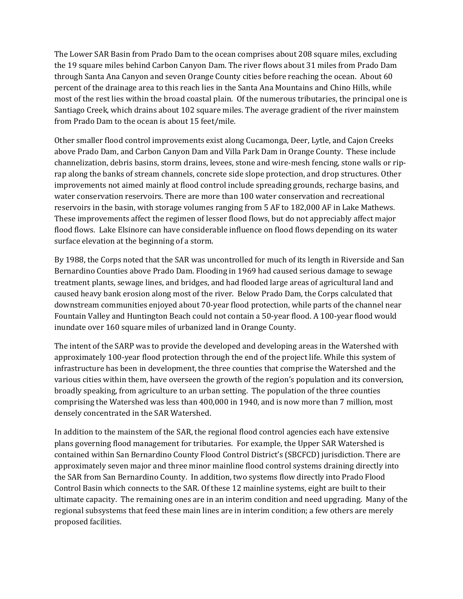The Lower SAR Basin from Prado Dam to the ocean comprises about 208 square miles, excluding the 19 square miles behind Carbon Canyon Dam. The river flows about 31 miles from Prado Dam through Santa Ana Canyon and seven Orange County cities before reaching the ocean. About 60 percent of the drainage area to this reach lies in the Santa Ana Mountains and Chino Hills, while most of the rest lies within the broad coastal plain. Of the numerous tributaries, the principal one is Santiago Creek, which drains about 102 square miles. The average gradient of the river mainstem from Prado Dam to the ocean is about 15 feet/mile.

Other smaller flood control improvements exist along Cucamonga, Deer, Lytle, and Cajon Creeks above Prado Dam, and Carbon Canyon Dam and Villa Park Dam in Orange County. These include channelization, debris basins, storm drains, levees, stone and wire-mesh fencing, stone walls or riprap along the banks of stream channels, concrete side slope protection, and drop structures. Other improvements not aimed mainly at flood control include spreading grounds, recharge basins, and water conservation reservoirs. There are more than 100 water conservation and recreational reservoirs in the basin, with storage volumes ranging from 5 AF to 182,000 AF in Lake Mathews. These improvements affect the regimen of lesser flood flows, but do not appreciably affect major flood flows. Lake Elsinore can have considerable influence on flood flows depending on its water surface elevation at the beginning of a storm.

By 1988, the Corps noted that the SAR was uncontrolled for much of its length in Riverside and San Bernardino Counties above Prado Dam. Flooding in 1969 had caused serious damage to sewage treatment plants, sewage lines, and bridges, and had flooded large areas of agricultural land and caused heavy bank erosion along most of the river. Below Prado Dam, the Corps calculated that downstream communities enjoyed about 70‐year flood protection, while parts of the channel near Fountain Valley and Huntington Beach could not contain a 50-year flood. A 100-year flood would inundate over 160 square miles of urbanized land in Orange County.

The intent of the SARP was to provide the developed and developing areas in the Watershed with approximately 100‐year flood protection through the end of the project life. While this system of infrastructure has been in development, the three counties that comprise the Watershed and the various cities within them, have overseen the growth of the region's population and its conversion, broadly speaking, from agriculture to an urban setting. The population of the three counties comprising the Watershed was less than 400,000 in 1940, and is now more than 7 million, most densely concentrated in the SAR Watershed.

In addition to the mainstem of the SAR, the regional flood control agencies each have extensive plans governing flood management for tributaries. For example, the Upper SAR Watershed is contained within San Bernardino County Flood Control District's (SBCFCD) jurisdiction. There are approximately seven major and three minor mainline flood control systems draining directly into the SAR from San Bernardino County. In addition, two systems flow directly into Prado Flood Control Basin which connects to the SAR. Of these 12 mainline systems, eight are built to their ultimate capacity. The remaining ones are in an interim condition and need upgrading. Many of the regional subsystems that feed these main lines are in interim condition; a few others are merely proposed facilities.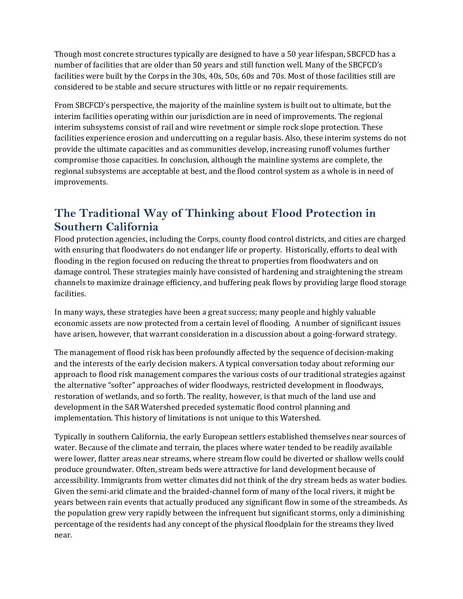Though most concrete structures typically are designed to have a 50 year lifespan, SBCFCD has a number of facilities that are older than 50 years and still function well. Many of the SBCFCD's facilities were built by the Corps in the 30s, 40s, 50s, 60s and 70s. Most of those facilities still are considered to be stable and secure structures with little or no repair requirements.

From SBCFCD's perspective, the majority of the mainline system is built out to ultimate, but the interim facilities operating within our jurisdiction are in need of improvements. The regional interim subsystems consist of rail and wire revetment or simple rock slope protection. These facilities experience erosion and undercutting on a regular basis. Also, these interim systems do not provide the ultimate capacities and as communities develop, increasing runoff volumes further compromise those capacities. In conclusion, although the mainline systems are complete, the regional subsystems are acceptable at best, and the flood control system as a whole is in need of improvements.

# **The Traditional Way of Thinking about Flood Protection in Southern California**

Flood protection agencies, including the Corps, county flood control districts, and cities are charged with ensuring that floodwaters do not endanger life or property. Historically, efforts to deal with flooding in the region focused on reducing the threat to properties from floodwaters and on damage control. These strategies mainly have consisted of hardening and straightening the stream channels to maximize drainage efficiency, and buffering peak flows by providing large flood storage facilities.

In many ways, these strategies have been a great success; many people and highly valuable economic assets are now protected from a certain level of flooding. A number of significant issues have arisen, however, that warrant consideration in a discussion about a going-forward strategy.

The management of flood risk has been profoundly affected by the sequence of decision-making and the interests of the early decision makers. A typical conversation today about reforming our approach to flood risk management compares the various costs of our traditional strategies against the alternative "softer" approaches of wider floodways, restricted development in floodways, restoration of wetlands, and so forth. The reality, however, is that much of the land use and development in the SAR Watershed preceded systematic flood control planning and implementation. This history of limitations is not unique to this Watershed.

Typically in southern California, the early European settlers established themselves near sources of water. Because of the climate and terrain, the places where water tended to be readily available were lower, flatter areas near streams, where stream flow could be diverted or shallow wells could produce groundwater. Often, stream beds were attractive for land development because of accessibility. Immigrants from wetter climates did not think of the dry stream beds as water bodies. Given the semi-arid climate and the braided-channel form of many of the local rivers, it might be years between rain events that actually produced any significant flow in some of the streambeds. As the population grew very rapidly between the infrequent but significant storms, only a diminishing percentage of the residents had any concept of the physical floodplain for the streams they lived near.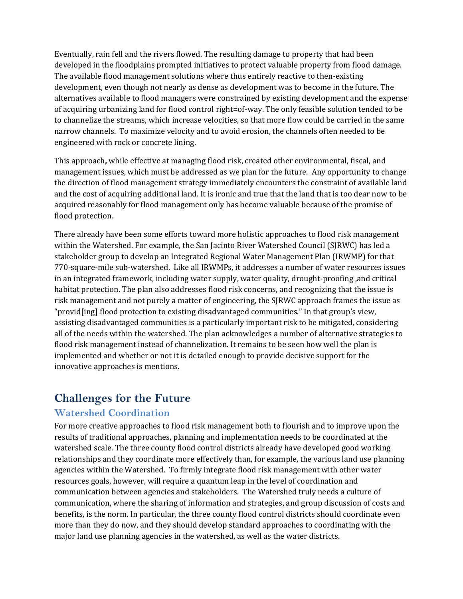Eventually, rain fell and the rivers flowed. The resulting damage to property that had been developed in the floodplains prompted initiatives to protect valuable property from flood damage. The available flood management solutions where thus entirely reactive to then-existing development, even though not nearly as dense as development was to become in the future. The alternatives available to flood managers were constrained by existing development and the expense of acquiring urbanizing land for flood control right=of‐way. The only feasible solution tended to be to channelize the streams, which increase velocities, so that more flow could be carried in the same narrow channels. To maximize velocity and to avoid erosion, the channels often needed to be engineered with rock or concrete lining.

This approach**,** while effective at managing flood risk, created other environmental, fiscal, and management issues, which must be addressed as we plan for the future. Any opportunity to change the direction of flood management strategy immediately encounters the constraint of available land and the cost of acquiring additional land. It is ironic and true that the land that is too dear now to be acquired reasonably for flood management only has become valuable because of the promise of flood protection.

There already have been some efforts toward more holistic approaches to flood risk management within the Watershed. For example, the San Jacinto River Watershed Council (SJRWC) has led a stakeholder group to develop an Integrated Regional Water Management Plan (IRWMP) for that 770‐square‐mile sub‐watershed. Like all IRWMPs, it addresses a number of water resources issues in an integrated framework, including water supply, water quality, drought‐proofing ,and critical habitat protection. The plan also addresses flood risk concerns, and recognizing that the issue is risk management and not purely a matter of engineering, the SJRWC approach frames the issue as "provid[ing] flood protection to existing disadvantaged communities." In that group's view, assisting disadvantaged communities is a particularly important risk to be mitigated, considering all of the needs within the watershed. The plan acknowledges a number of alternative strategies to flood risk management instead of channelization. It remains to be seen how well the plan is implemented and whether or not it is detailed enough to provide decisive support for the innovative approaches is mentions.

## **Challenges for the Future**

#### **Watershed Coordination**

For more creative approaches to flood risk management both to flourish and to improve upon the results of traditional approaches, planning and implementation needs to be coordinated at the watershed scale. The three county flood control districts already have developed good working relationships and they coordinate more effectively than, for example, the various land use planning agencies within the Watershed. To firmly integrate flood risk management with other water resources goals, however, will require a quantum leap in the level of coordination and communication between agencies and stakeholders. The Watershed truly needs a culture of communication, where the sharing of information and strategies, and group discussion of costs and benefits, is the norm. In particular, the three county flood control districts should coordinate even more than they do now, and they should develop standard approaches to coordinating with the major land use planning agencies in the watershed, as well as the water districts.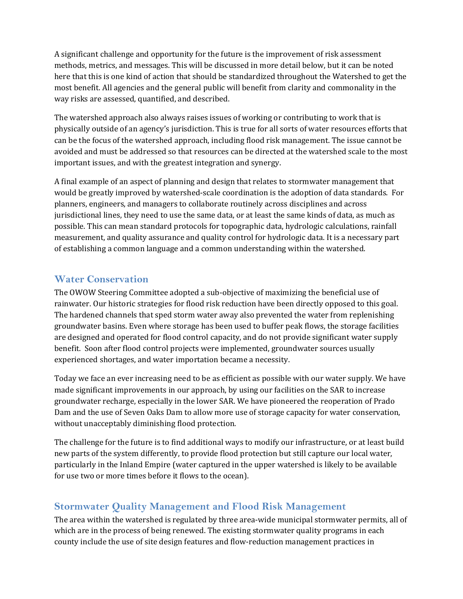A significant challenge and opportunity for the future is the improvement of risk assessment methods, metrics, and messages. This will be discussed in more detail below, but it can be noted here that this is one kind of action that should be standardized throughout the Watershed to get the most benefit. All agencies and the general public will benefit from clarity and commonality in the way risks are assessed, quantified, and described.

The watershed approach also always raises issues of working or contributing to work that is physically outside of an agency's jurisdiction. This is true for all sorts of water resources efforts that can be the focus of the watershed approach, including flood risk management. The issue cannot be avoided and must be addressed so that resources can be directed at the watershed scale to the most important issues, and with the greatest integration and synergy.

A final example of an aspect of planning and design that relates to stormwater management that would be greatly improved by watershed‐scale coordination is the adoption of data standards. For planners, engineers, and managers to collaborate routinely across disciplines and across jurisdictional lines, they need to use the same data, or at least the same kinds of data, as much as possible. This can mean standard protocols for topographic data, hydrologic calculations, rainfall measurement, and quality assurance and quality control for hydrologic data. It is a necessary part of establishing a common language and a common understanding within the watershed.

#### **Water Conservation**

The OWOW Steering Committee adopted a sub-objective of maximizing the beneficial use of rainwater. Our historic strategies for flood risk reduction have been directly opposed to this goal. The hardened channels that sped storm water away also prevented the water from replenishing groundwater basins. Even where storage has been used to buffer peak flows, the storage facilities are designed and operated for flood control capacity, and do not provide significant water supply benefit. Soon after flood control projects were implemented, groundwater sources usually experienced shortages, and water importation became a necessity.

Today we face an ever increasing need to be as efficient as possible with our water supply. We have made significant improvements in our approach, by using our facilities on the SAR to increase groundwater recharge, especially in the lower SAR. We have pioneered the reoperation of Prado Dam and the use of Seven Oaks Dam to allow more use of storage capacity for water conservation, without unacceptably diminishing flood protection.

The challenge for the future is to find additional ways to modify our infrastructure, or at least build new parts of the system differently, to provide flood protection but still capture our local water, particularly in the Inland Empire (water captured in the upper watershed is likely to be available for use two or more times before it flows to the ocean).

## **Stormwater Quality Management and Flood Risk Management**

The area within the watershed is regulated by three area-wide municipal stormwater permits, all of which are in the process of being renewed. The existing stormwater quality programs in each county include the use of site design features and flow‐reduction management practices in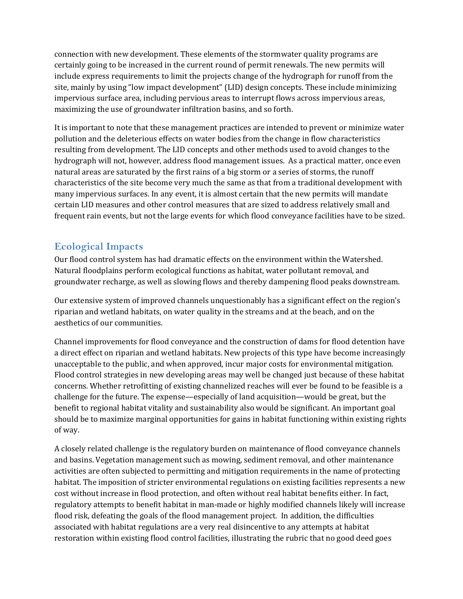connection with new development. These elements of the stormwater quality programs are certainly going to be increased in the current round of permit renewals. The new permits will include express requirements to limit the projects change of the hydrograph for runoff from the site, mainly by using "low impact development" (LID) design concepts. These include minimizing impervious surface area, including pervious areas to interrupt flows across impervious areas, maximizing the use of groundwater infiltration basins, and so forth.

It is important to note that these management practices are intended to prevent or minimize water pollution and the deleterious effects on water bodies from the change in flow characteristics resulting from development. The LID concepts and other methods used to avoid changes to the hydrograph will not, however, address flood management issues. As a practical matter, once even natural areas are saturated by the first rains of a big storm or a series of storms, the runoff characteristics of the site become very much the same as that from a traditional development with many impervious surfaces. In any event, it is almost certain that the new permits will mandate certain LID measures and other control measures that are sized to address relatively small and frequent rain events, but not the large events for which flood conveyance facilities have to be sized.

#### **Ecological Impacts**

Our flood control system has had dramatic effects on the environment within the Watershed. Natural floodplains perform ecological functions as habitat, water pollutant removal, and groundwater recharge, as well as slowing flows and thereby dampening flood peaks downstream.

Our extensive system of improved channels unquestionably has a significant effect on the region's riparian and wetland habitats, on water quality in the streams and at the beach, and on the aesthetics of our communities.

Channel improvements for flood conveyance and the construction of dams for flood detention have a direct effect on riparian and wetland habitats. New projects of this type have become increasingly unacceptable to the public, and when approved, incur major costs for environmental mitigation. Flood control strategies in new developing areas may well be changed just because of these habitat concerns. Whether retrofitting of existing channelized reaches will ever be found to be feasible is a challenge for the future. The expense—especially of land acquisition—would be great, but the benefit to regional habitat vitality and sustainability also would be significant. An important goal should be to maximize marginal opportunities for gains in habitat functioning within existing rights of way.

A closely related challenge is the regulatory burden on maintenance of flood conveyance channels and basins. Vegetation management such as mowing, sediment removal, and other maintenance activities are often subjected to permitting and mitigation requirements in the name of protecting habitat. The imposition of stricter environmental regulations on existing facilities represents a new cost without increase in flood protection, and often without real habitat benefits either. In fact, regulatory attempts to benefit habitat in man‐made or highly modified channels likely will increase flood risk, defeating the goals of the flood management project. In addition, the difficulties associated with habitat regulations are a very real disincentive to any attempts at habitat restoration within existing flood control facilities, illustrating the rubric that no good deed goes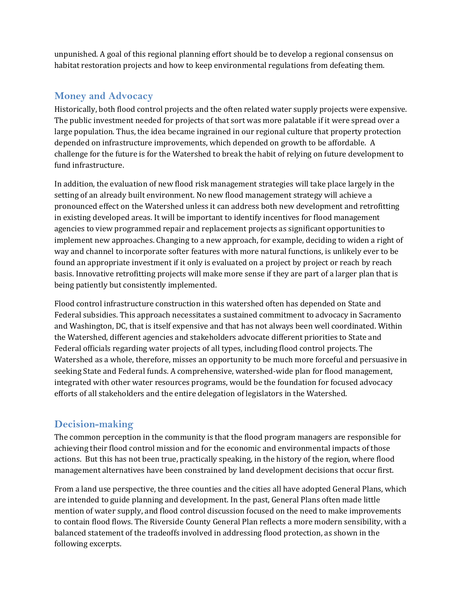unpunished. A goal of this regional planning effort should be to develop a regional consensus on habitat restoration projects and how to keep environmental regulations from defeating them.

#### **Money and Advocacy**

Historically, both flood control projects and the often related water supply projects were expensive. The public investment needed for projects of that sort was more palatable if it were spread over a large population. Thus, the idea became ingrained in our regional culture that property protection depended on infrastructure improvements, which depended on growth to be affordable. A challenge for the future is for the Watershed to break the habit of relying on future development to fund infrastructure.

In addition, the evaluation of new flood risk management strategies will take place largely in the setting of an already built environment. No new flood management strategy will achieve a pronounced effect on the Watershed unless it can address both new development and retrofitting in existing developed areas. It will be important to identify incentives for flood management agencies to view programmed repair and replacement projects as significant opportunities to implement new approaches. Changing to a new approach, for example, deciding to widen a right of way and channel to incorporate softer features with more natural functions, is unlikely ever to be found an appropriate investment if it only is evaluated on a project by project or reach by reach basis. Innovative retrofitting projects will make more sense if they are part of a larger plan that is being patiently but consistently implemented.

Flood control infrastructure construction in this watershed often has depended on State and Federal subsidies. This approach necessitates a sustained commitment to advocacy in Sacramento and Washington, DC, that is itself expensive and that has not always been well coordinated. Within the Watershed, different agencies and stakeholders advocate different priorities to State and Federal officials regarding water projects of all types, including flood control projects. The Watershed as a whole, therefore, misses an opportunity to be much more forceful and persuasive in seeking State and Federal funds. A comprehensive, watershed‐wide plan for flood management, integrated with other water resources programs, would be the foundation for focused advocacy efforts of all stakeholders and the entire delegation of legislators in the Watershed.

## **Decision-making**

The common perception in the community is that the flood program managers are responsible for achieving their flood control mission and for the economic and environmental impacts of those actions. But this has not been true, practically speaking, in the history of the region, where flood management alternatives have been constrained by land development decisions that occur first.

From a land use perspective, the three counties and the cities all have adopted General Plans, which are intended to guide planning and development. In the past, General Plans often made little mention of water supply, and flood control discussion focused on the need to make improvements to contain flood flows. The Riverside County General Plan reflects a more modern sensibility, with a balanced statement of the tradeoffs involved in addressing flood protection, as shown in the following excerpts.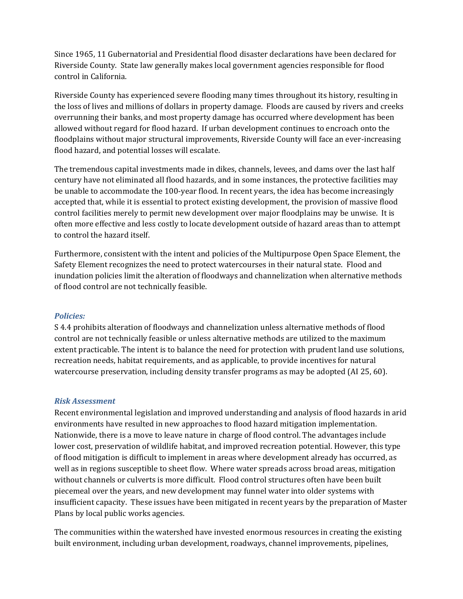Since 1965, 11 Gubernatorial and Presidential flood disaster declarations have been declared for Riverside County. State law generally makes local government agencies responsible for flood control in California.

Riverside County has experienced severe flooding many times throughout its history, resulting in the loss of lives and millions of dollars in property damage. Floods are caused by rivers and creeks overrunning their banks, and most property damage has occurred where development has been allowed without regard for flood hazard. If urban development continues to encroach onto the floodplains without major structural improvements, Riverside County will face an ever-increasing flood hazard, and potential losses will escalate.

The tremendous capital investments made in dikes, channels, levees, and dams over the last half century have not eliminated all flood hazards, and in some instances, the protective facilities may be unable to accommodate the 100-year flood. In recent years, the idea has become increasingly accepted that, while it is essential to protect existing development, the provision of massive flood control facilities merely to permit new development over major floodplains may be unwise. It is often more effective and less costly to locate development outside of hazard areas than to attempt to control the hazard itself.

Furthermore, consistent with the intent and policies of the Multipurpose Open Space Element, the Safety Element recognizes the need to protect watercourses in their natural state. Flood and inundation policies limit the alteration of floodways and channelization when alternative methods of flood control are not technically feasible.

#### *Policies:*

S 4.4 prohibits alteration of floodways and channelization unless alternative methods of flood control are not technically feasible or unless alternative methods are utilized to the maximum extent practicable. The intent is to balance the need for protection with prudent land use solutions, recreation needs, habitat requirements, and as applicable, to provide incentives for natural watercourse preservation, including density transfer programs as may be adopted (AI 25, 60).

#### *Risk Assessment*

Recent environmental legislation and improved understanding and analysis of flood hazards in arid environments have resulted in new approaches to flood hazard mitigation implementation. Nationwide, there is a move to leave nature in charge of flood control. The advantages include lower cost, preservation of wildlife habitat, and improved recreation potential. However, this type of flood mitigation is difficult to implement in areas where development already has occurred, as well as in regions susceptible to sheet flow. Where water spreads across broad areas, mitigation without channels or culverts is more difficult. Flood control structures often have been built piecemeal over the years, and new development may funnel water into older systems with insufficient capacity. These issues have been mitigated in recent years by the preparation of Master Plans by local public works agencies.

The communities within the watershed have invested enormous resources in creating the existing built environment, including urban development, roadways, channel improvements, pipelines,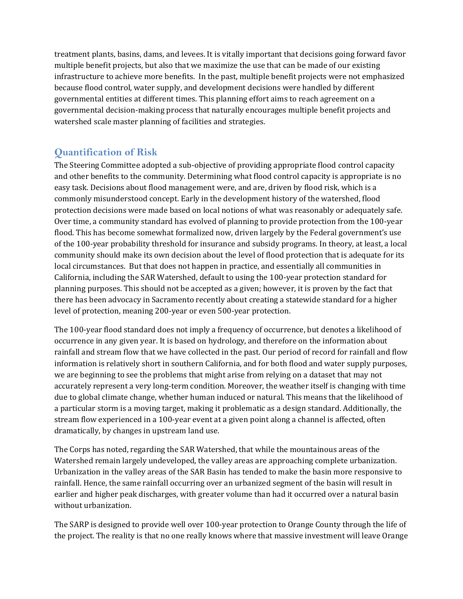treatment plants, basins, dams, and levees. It is vitally important that decisions going forward favor multiple benefit projects, but also that we maximize the use that can be made of our existing infrastructure to achieve more benefits. In the past, multiple benefit projects were not emphasized because flood control, water supply, and development decisions were handled by different governmental entities at different times. This planning effort aims to reach agreement on a governmental decision‐making process that naturally encourages multiple benefit projects and watershed scale master planning of facilities and strategies.

## **Quantification of Risk**

The Steering Committee adopted a sub‐objective of providing appropriate flood control capacity and other benefits to the community. Determining what flood control capacity is appropriate is no easy task. Decisions about flood management were, and are, driven by flood risk, which is a commonly misunderstood concept. Early in the development history of the watershed, flood protection decisions were made based on local notions of what was reasonably or adequately safe. Over time, a community standard has evolved of planning to provide protection from the 100‐year flood. This has become somewhat formalized now, driven largely by the Federal government's use of the 100‐year probability threshold for insurance and subsidy programs. In theory, at least, a local community should make its own decision about the level of flood protection that is adequate for its local circumstances. But that does not happen in practice, and essentially all communities in California, including the SAR Watershed, default to using the 100‐year protection standard for planning purposes. This should not be accepted as a given; however, it is proven by the fact that there has been advocacy in Sacramento recently about creating a statewide standard for a higher level of protection, meaning 200‐year or even 500‐year protection.

The 100-year flood standard does not imply a frequency of occurrence, but denotes a likelihood of occurrence in any given year. It is based on hydrology, and therefore on the information about rainfall and stream flow that we have collected in the past. Our period of record for rainfall and flow information is relatively short in southern California, and for both flood and water supply purposes, we are beginning to see the problems that might arise from relying on a dataset that may not accurately represent a very long‐term condition. Moreover, the weather itself is changing with time due to global climate change, whether human induced or natural. This means that the likelihood of a particular storm is a moving target, making it problematic as a design standard. Additionally, the stream flow experienced in a 100‐year event at a given point along a channel is affected, often dramatically, by changes in upstream land use.

The Corps has noted, regarding the SAR Watershed, that while the mountainous areas of the Watershed remain largely undeveloped, the valley areas are approaching complete urbanization. Urbanization in the valley areas of the SAR Basin has tended to make the basin more responsive to rainfall. Hence, the same rainfall occurring over an urbanized segment of the basin will result in earlier and higher peak discharges, with greater volume than had it occurred over a natural basin without urbanization.

The SARP is designed to provide well over 100-year protection to Orange County through the life of the project. The reality is that no one really knows where that massive investment will leave Orange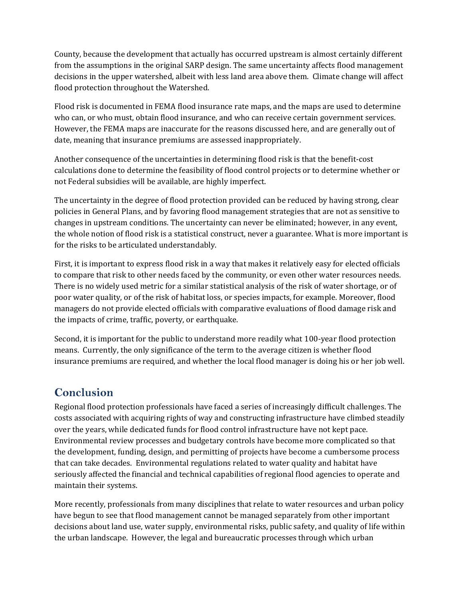County, because the development that actually has occurred upstream is almost certainly different from the assumptions in the original SARP design. The same uncertainty affects flood management decisions in the upper watershed, albeit with less land area above them. Climate change will affect flood protection throughout the Watershed.

Flood risk is documented in FEMA flood insurance rate maps, and the maps are used to determine who can, or who must, obtain flood insurance, and who can receive certain government services. However, the FEMA maps are inaccurate for the reasons discussed here, and are generally out of date, meaning that insurance premiums are assessed inappropriately.

Another consequence of the uncertainties in determining flood risk is that the benefit‐cost calculations done to determine the feasibility of flood control projects or to determine whether or not Federal subsidies will be available, are highly imperfect.

The uncertainty in the degree of flood protection provided can be reduced by having strong, clear policies in General Plans, and by favoring flood management strategies that are not as sensitive to changes in upstream conditions. The uncertainty can never be eliminated; however, in any event, the whole notion of flood risk is a statistical construct, never a guarantee. What is more important is for the risks to be articulated understandably.

First, it is important to express flood risk in a way that makes it relatively easy for elected officials to compare that risk to other needs faced by the community, or even other water resources needs. There is no widely used metric for a similar statistical analysis of the risk of water shortage, or of poor water quality, or of the risk of habitat loss, or species impacts, for example. Moreover, flood managers do not provide elected officials with comparative evaluations of flood damage risk and the impacts of crime, traffic, poverty, or earthquake.

Second, it is important for the public to understand more readily what 100‐year flood protection means. Currently, the only significance of the term to the average citizen is whether flood insurance premiums are required, and whether the local flood manager is doing his or her job well.

# **Conclusion**

Regional flood protection professionals have faced a series of increasingly difficult challenges. The costs associated with acquiring rights of way and constructing infrastructure have climbed steadily over the years, while dedicated funds for flood control infrastructure have not kept pace. Environmental review processes and budgetary controls have become more complicated so that the development, funding, design, and permitting of projects have become a cumbersome process that can take decades. Environmental regulations related to water quality and habitat have seriously affected the financial and technical capabilities of regional flood agencies to operate and maintain their systems.

More recently, professionals from many disciplines that relate to water resources and urban policy have begun to see that flood management cannot be managed separately from other important decisions about land use, water supply, environmental risks, public safety, and quality of life within the urban landscape. However, the legal and bureaucratic processes through which urban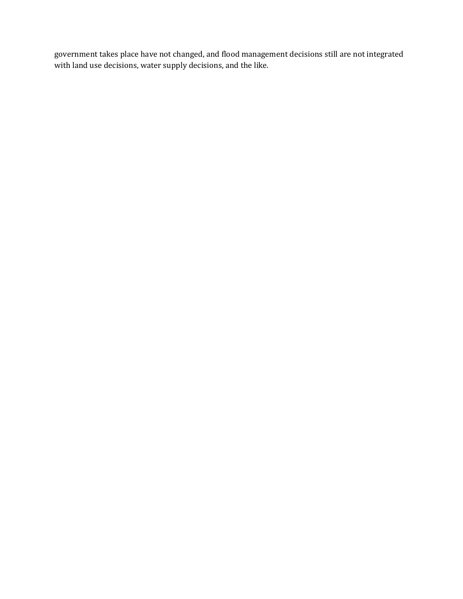government takes place have not changed, and flood management decisions still are not integrated with land use decisions, water supply decisions, and the like.